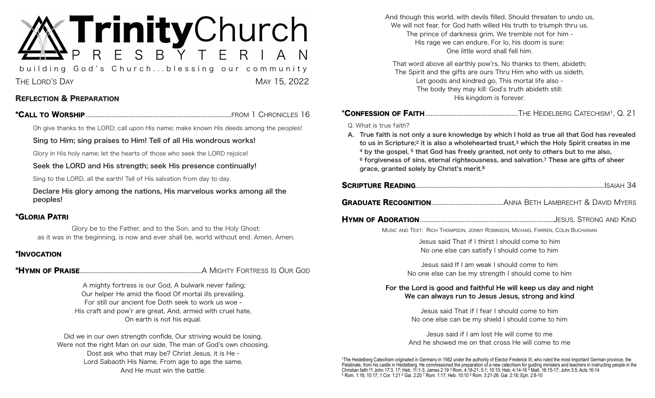## TrinityChurch  $R_{\parallel}$  $\mathsf{F}$  $S$

building God's Church...blessing our community THE LORD'S DAY MAY 15, 2022

## REFLECTION & PREPARATION

\*CALL TO WORSHIP.....................................................................................FROM 1 CHRONICLES 16

Oh give thanks to the LORD; call upon His name; make known His deeds among the peoples!

Sing to Him; sing praises to Him! Tell of all His wondrous works!

Glory in His holy name; let the hearts of those who seek the LORD rejoice!

Seek the LORD and His strength; seek His presence continually!

Sing to the LORD, all the earth! Tell of His salvation from day to day.

Declare His glory among the nations, His marvelous works among all the peoples!

## \*GLORIA PATRI

Glory be to the Father, and to the Son, and to the Holy Ghost: as it was in the beginning, is now and ever shall be, world without end. Amen, Amen.

## \*INVOCATION

\*HYMN OF PRAISE A M ....................................................................... IGHTY FORTRESS IS OUR GOD

 A mighty fortress is our God, A bulwark never failing; Our helper He amid the flood Of mortal ills prevailing. For still our ancient foe Doth seek to work us woe - His craft and pow'r are great, And, armed with cruel hate, On earth is not his equal.

Did we in our own strength confide, Our striving would be losing, Were not the right Man on our side, The man of God's own choosing. Dost ask who that may be? Christ Jesus, it is He - Lord Sabaoth His Name, From age to age the same, And He must win the battle.

And though this world, with devils filled, Should threaten to undo us, We will not fear, for God hath willed His truth to triumph thru us. The prince of darkness grim, We tremble not for him - His rage we can endure, For lo, his doom is sure: One little word shall fell him.

That word above all earthly pow'rs, No thanks to them, abideth; The Spirit and the gifts are ours Thru Him who with us sideth. Let goods and kindred go, This mortal life also - The body they may kill: God's truth abideth still: His kingdom is forever.

## \*CONFESSION OF FAITH ..THE HEIDELBERG CATECHISM1 .................................................... , Q. 21

Q. What is true faith?

A. True faith is not only a sure knowledge by which I hold as true all that God has revealed to us in Scripture;<sup>2</sup> it is also a wholehearted trust,<sup>3</sup> which the Holy Spirit creates in me 4 by the gospel, 5 that God has freely granted, not only to others but to me also,  $6$  forgiveness of sins, eternal righteousness, and salvation.<sup>7</sup> These are gifts of sheer grace, granted solely by Christ's merit.8

|--|--|

- GRADUATE RECOGNITION ..A ........................................ NNA BETH LAMBRECHT & DAVID MYERS
- HYMN OF ADORATION J .............................................................................. ESUS, STRONG AND KIND

MUSIC AND TEXT: RICH THOMPSON, JONNY ROBINSON, MICHAEL FARREN, COLIN BUCHANAN

Jesus said That if I thirst I should come to him No one else can satisfy I should come to him

Jesus said If I am weak I should come to him No one else can be my strength I should come to him

## For the Lord is good and faithful He will keep us day and night We can always run to Jesus Jesus, strong and kind

Jesus said That if I fear I should come to him No one else can be my shield I should come to him

Jesus said if I am lost He will come to me And he showed me on that cross He will come to me

1The Heidelberg Catechism originated in Germany in 1562 under the authority of Elector Frederick III, who ruled the most important German province, the Palatinate, from his castle in Heidelberg. He commissioned the preparation of a new catechism for guiding ministers and teachers in instructing people in the Christian faith.21 John 17:3, 17; Heb. 11:1-3; James 2:19 3 Rom. 4:18-21; 5:1; 10:10; Heb. 4:14-16 4 Matt. 16:15-17; John 3:5; Acts 16:14 5 Rom. 1:16; 10:17; 1 Cor. 1:21 6 Gal. 2:20 7 Rom. 1:17; Heb. 10:10 8 Rom. 3:21-26; Gal. 2:16; Eph. 2:8-10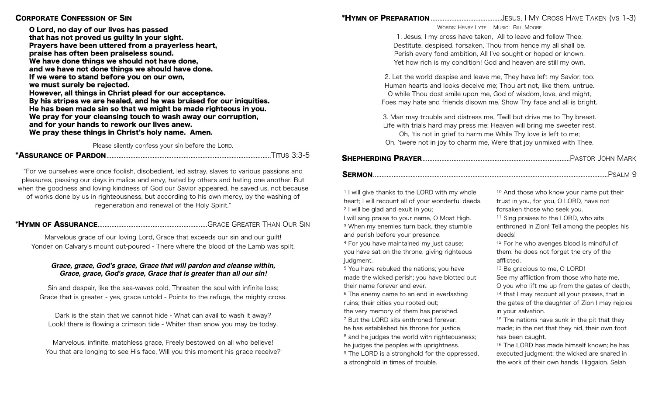## CORPORATE CONFESSION OF SIN

O Lord, no day of our lives has passed that has not proved us guilty in your sight. Prayers have been uttered from a prayerless heart, praise has often been praiseless sound. We have done things we should not have done, and we have not done things we should have done. If we were to stand before you on our own, we must surely be rejected. However, all things in Christ plead for our acceptance. By his stripes we are healed, and he was bruised for our iniquities. He has been made sin so that we might be made righteous in you. We pray for your cleansing touch to wash away our corruption, and for your hands to rework our lives anew. We pray these things in Christ's holy name. Amen.

Please silently confess your sin before the LORD.

## \*ASSURANCE OF PARDON T ................................................................................................ ITUS 3:3-5

"For we ourselves were once foolish, disobedient, led astray, slaves to various passions and pleasures, passing our days in malice and envy, hated by others and hating one another. But when the goodness and loving kindness of God our Savior appeared, he saved us, not because of works done by us in righteousness, but according to his own mercy, by the washing of regeneration and renewal of the Holy Spirit."

## \*HYMN OF ASSURANCE G ................................................................ RACE GREATER THAN OUR SIN

Marvelous grace of our loving Lord, Grace that exceeds our sin and our guilt! Yonder on Calvary's mount out-poured - There where the blood of the Lamb was spilt.

## *Grace, grace, God's grace, Grace that will pardon and cleanse within, Grace, grace, God's grace, Grace that is greater than all our sin!*

Sin and despair, like the sea-waves cold, Threaten the soul with infinite loss; Grace that is greater - yes, grace untold - Points to the refuge, the mighty cross.

Dark is the stain that we cannot hide - What can avail to wash it away? Look! there is flowing a crimson tide - Whiter than snow you may be today.

Marvelous, infinite, matchless grace, Freely bestowed on all who believe! You that are longing to see His face, Will you this moment his grace receive?

## \*HYMN OF PREPARATION J ......................................... ESUS, I MY CROSS HAVE TAKEN (VS 1-3)

WORDS: HENRY LYTE MUSIC: BILL MOORE

1. Jesus, I my cross have taken, All to leave and follow Thee. Destitute, despised, forsaken, Thou from hence my all shall be. Perish every fond ambition, All I've sought or hoped or known. Yet how rich is my condition! God and heaven are still my own.

2. Let the world despise and leave me, They have left my Savior, too. Human hearts and looks deceive me; Thou art not, like them, untrue. O while Thou dost smile upon me, God of wisdom, love, and might, Foes may hate and friends disown me, Show Thy face and all is bright.

3. Man may trouble and distress me, 'Twill but drive me to Thy breast. Life with trials hard may press me; Heaven will bring me sweeter rest. Oh, 'tis not in grief to harm me While Thy love is left to me; Oh, 'twere not in joy to charm me, Were that joy unmixed with Thee.

|--|--|--|

<sup>1</sup> I will give thanks to the LORD with my whole heart; I will recount all of your wonderful deeds. 2 I will be glad and exult in you; I will sing praise to your name, O Most High. 3 When my enemies turn back, they stumble and perish before your presence.

4 For you have maintained my just cause; you have sat on the throne, giving righteous judgment.

5 You have rebuked the nations; you have made the wicked perish; you have blotted out their name forever and ever.

<sup>6</sup> The enemy came to an end in everlasting ruins; their cities you rooted out; the very memory of them has perished. 7 But the LORD sits enthroned forever; he has established his throne for justice, 8 and he judges the world with righteousness; he judges the peoples with uprightness. <sup>9</sup> The LORD is a stronghold for the oppressed, a stronghold in times of trouble.

<sup>10</sup> And those who know your name put their trust in you, for you, O LORD, have not forsaken those who seek you. <sup>11</sup> Sing praises to the LORD, who sits enthroned in Zion! Tell among the peoples his deeds! <sup>12</sup> For he who avenges blood is mindful of

them; he does not forget the cry of the afflicted.

<sup>13</sup> Be gracious to me, O LORD!

See my affliction from those who hate me, O you who lift me up from the gates of death, 14 that I may recount all your praises, that in the gates of the daughter of Zion I may rejoice in your salvation.

<sup>15</sup> The nations have sunk in the pit that they made; in the net that they hid, their own foot has been caught.

<sup>16</sup> The LORD has made himself known; he has executed judgment; the wicked are snared in the work of their own hands. Higgaion. Selah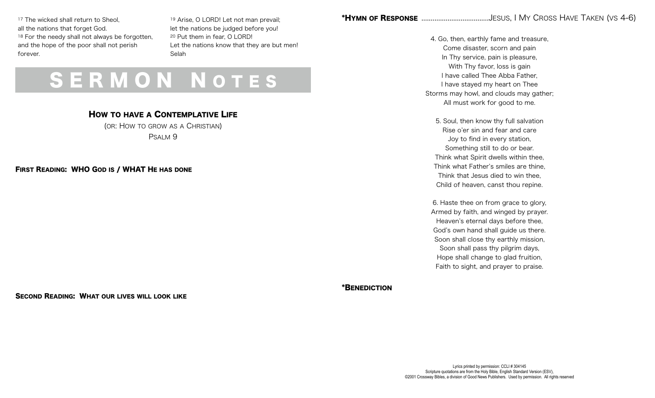17 The wicked shall return to Sheol all the nations that forget God. <sup>18</sup> For the needy shall not always be forgotten, and the hope of the poor shall not perish forever.

19 Arise, O LORD! Let not man prevail; let the nations be judged before you! 20 Put them in fear, O LORD! Let the nations know that they are but men! Selah

# S E R M O N N O T E S

## HOW TO HAVE A CONTEMPLATIVE LIFE

(OR: HOW TO GROW AS A CHRISTIAN) PSALM 9

FIRST READING: WHO GOD IS / WHAT HE HAS DONE

## SECOND READING: WHAT OUR LIVES WILL LOOK LIKE

\*HYMN OF RESPONSE J .................................... ESUS, I MY CROSS HAVE TAKEN (VS 4-6)

4. Go, then, earthly fame and treasure, Come disaster, scorn and pain In Thy service, pain is pleasure, With Thy favor, loss is gain I have called Thee Abba Father, I have stayed my heart on Thee Storms may howl, and clouds may gather; All must work for good to me.

5. Soul, then know thy full salvation Rise o'er sin and fear and care Joy to find in every station, Something still to do or bear. Think what Spirit dwells within thee, Think what Father's smiles are thine, Think that Jesus died to win thee, Child of heaven, canst thou repine.

6. Haste thee on from grace to glory, Armed by faith, and winged by prayer. Heaven's eternal days before thee, God's own hand shall guide us there. Soon shall close thy earthly mission, Soon shall pass thy pilgrim days, Hope shall change to glad fruition, Faith to sight, and prayer to praise.

## \*BENEDICTION